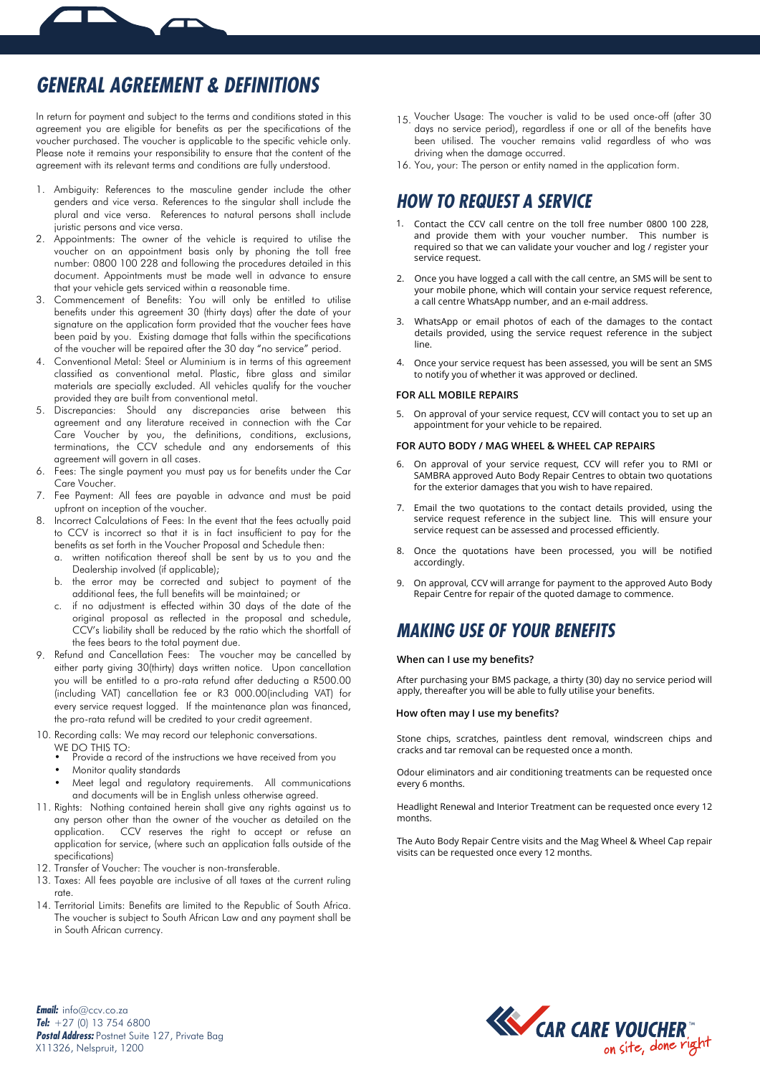

In return for payment and subject to the terms and conditions stated in this agreement you are eligible for benefits as per the specifications of the voucher purchased. The voucher is applicable to the specific vehicle only. Please note it remains your responsibility to ensure that the content of the agreement with its relevant terms and conditions are fully understood.

- 1. Ambiguity: References to the masculine gender include the other genders and vice versa. References to the singular shall include the plural and vice versa. References to natural persons shall include juristic persons and vice versa.
- 2. Appointments: The owner of the vehicle is required to utilise the voucher on an appointment basis only by phoning the toll free number: 0800 100 228 and following the procedures detailed in this document. Appointments must be made well in advance to ensure that your vehicle gets serviced within a reasonable time.
- 3. Commencement of Benefits: You will only be entitled to utilise benefits under this agreement 30 (thirty days) after the date of your signature on the application form provided that the voucher fees have been paid by you. Existing damage that falls within the specifications of the voucher will be repaired after the 30 day "no service" period.
- 4. Conventional Metal: Steel or Aluminium is in terms of this agreement classified as conventional metal. Plastic, fibre glass and similar materials are specially excluded. All vehicles qualify for the voucher provided they are built from conventional metal.
- 5. Discrepancies: Should any discrepancies arise between this agreement and any literature received in connection with the Car Care Voucher by you, the definitions, conditions, exclusions, terminations, the CCV schedule and any endorsements of this agreement will govern in all cases.
- 6. Fees: The single payment you must pay us for benefits under the Car Care Voucher.
- 7. Fee Payment: All fees are payable in advance and must be paid upfront on inception of the voucher.
- 8. Incorrect Calculations of Fees: In the event that the fees actually paid to CCV is incorrect so that it is in fact insufficient to pay for the benefits as set forth in the Voucher Proposal and Schedule then:
	- a. written notification thereof shall be sent by us to you and the Dealership involved (if applicable);
	- b. the error may be corrected and subject to payment of the additional fees, the full benefits will be maintained; or
	- c. if no adjustment is effected within 30 days of the date of the original proposal as reflected in the proposal and schedule, CCV's liability shall be reduced by the ratio which the shortfall of the fees bears to the total payment due.
- 9. Refund and Cancellation Fees: The voucher may be cancelled by either party giving 30(thirty) days written notice. Upon cancellation you will be entitled to a pro-rata refund after deducting a R500.00 (including VAT) cancellation fee or R3 000.00(including VAT) for every service request logged. If the maintenance plan was financed, the pro-rata refund will be credited to your credit agreement.
- 10. Recording calls: We may record our telephonic conversations.
	- WE DO THIS TO:
	- Provide a record of the instructions we have received from you
	- Monitor quality standards
	- Meet legal and regulatory requirements. All communications and documents will be in English unless otherwise agreed.
- 11. Rights: Nothing contained herein shall give any rights against us to any person other than the owner of the voucher as detailed on the application. CCV reserves the right to accept or refuse an application for service, (where such an application falls outside of the specifications)
- 12. Transfer of Voucher: The voucher is non-transferable.
- 13. Taxes: All fees payable are inclusive of all taxes at the current ruling rate.
- 14. Territorial Limits: Benefits are limited to the Republic of South Africa. The voucher is subject to South African Law and any payment shall be in South African currency.
- 15. Voucher Usage: The voucher is valid to be used once-off (after 30 days no service period), regardless if one or all of the benefits have been utilised. The voucher remains valid regardless of who was driving when the damage occurred.
- 16. You, your: The person or entity named in the application form.

### **HOW TO REQUEST A SERVICE**

- Contact the CCV call centre on the toll free number 0800 100 228, 1. and provide them with your voucher number. This number is required so that we can validate your voucher and log / register your service request.
- 2. Once you have logged a call with the call centre, an SMS will be sent to your mobile phone, which will contain your service request reference, a call centre WhatsApp number, and an e-mail address.
- WhatsApp or email photos of each of the damages to the contact 3. details provided, using the service request reference in the subject line.
- Once your service request has been assessed, you will be sent an SMS 4. to notify you of whether it was approved or declined.

#### **FOR ALL MOBILE REPAIRS**

5. On approval of your service request, CCV will contact you to set up an appointment for your vehicle to be repaired.

#### **FOR AUTO BODY / MAG WHEEL & WHEEL CAP REPAIRS**

- 6. On approval of your service request, CCV will refer you to RMI or SAMBRA approved Auto Body Repair Centres to obtain two quotations for the exterior damages that you wish to have repaired.
- 7. Email the two quotations to the contact details provided, using the service request reference in the subject line. This will ensure your service request can be assessed and processed efficiently.
- Once the quotations have been processed, you will be notified 8. accordingly.
- On approval, CCV will arrange for payment to the approved Auto Body Repair Centre for repair of the quoted damage to commence. 9.

### **MAKING USE OF YOUR BENEFITS**

#### **When can I use my benefits?**

After purchasing your BMS package, a thirty (30) day no service period will apply, thereafter you will be able to fully utilise your benefits.

#### **How often may I use my benefits?**

Stone chips, scratches, paintless dent removal, windscreen chips and cracks and tar removal can be requested once a month.

Odour eliminators and air conditioning treatments can be requested once every 6 months.

Headlight Renewal and Interior Treatment can be requested once every 12 months.

The Auto Body Repair Centre visits and the Mag Wheel & Wheel Cap repair visits can be requested once every 12 months.



**Email:** info@ccv.co.za **Tel:** +27 (0) 13 754 6800 **Postal Address:** Postnet Suite 127, Private Bag X11326, Nelspruit, 1200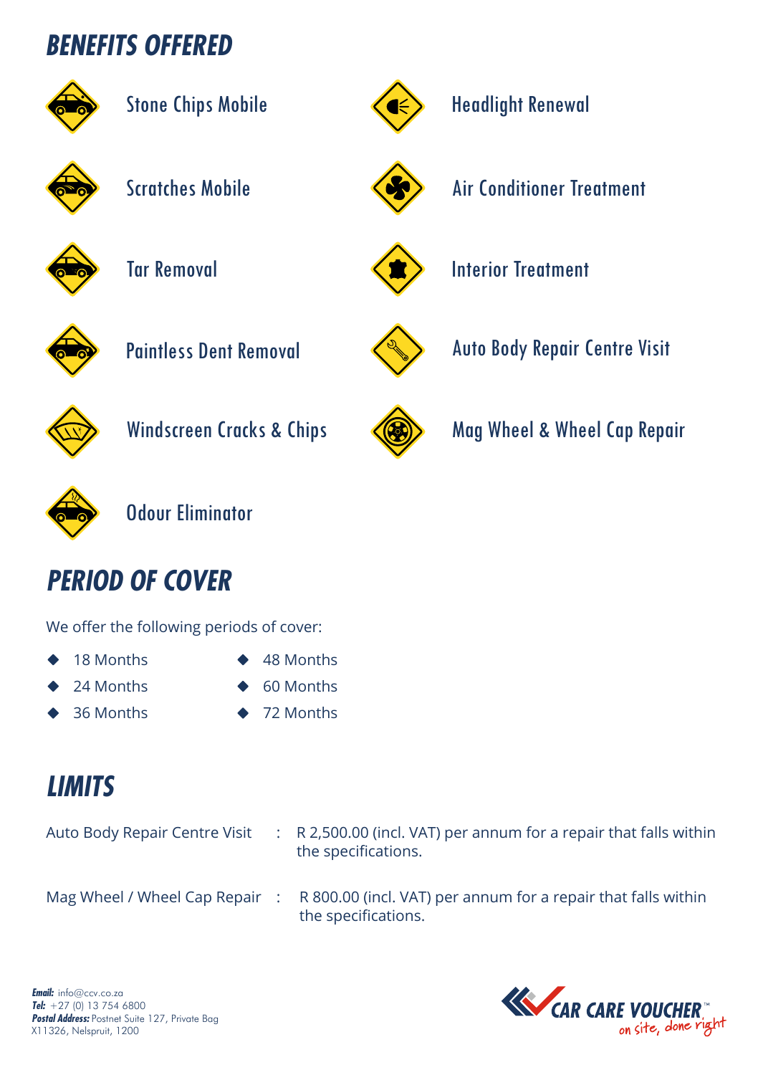# **BENEFITS OFFERED**



| <b>Stone Chips Mobile</b> |  |
|---------------------------|--|
|---------------------------|--|



## Headlight Renewal



Scratches Mobile **Algebrary** Air Conditioner Treatment



Tar Removal Interior Treatment





Paintless Dent Removal Auto Body Repair Centre Visit





Windscreen Cracks & Chips (3) Mag Wheel & Wheel Cap Repair



Odour Eliminator

# **PERIOD OF COVER**

We offer the following periods of cover:

- 18 Months
- 24 Months
- 36 Months

48 Months

- 60 Months
- 
- 72 Months

# **LIMITS**

| Auto Body Repair Centre Visit | $\therefore$ R 2,500.00 (incl. VAT) per annum for a repair that falls within<br>the specifications.                 |
|-------------------------------|---------------------------------------------------------------------------------------------------------------------|
|                               | Mag Wheel / Wheel Cap Repair : R 800.00 (incl. VAT) per annum for a repair that falls within<br>the specifications. |

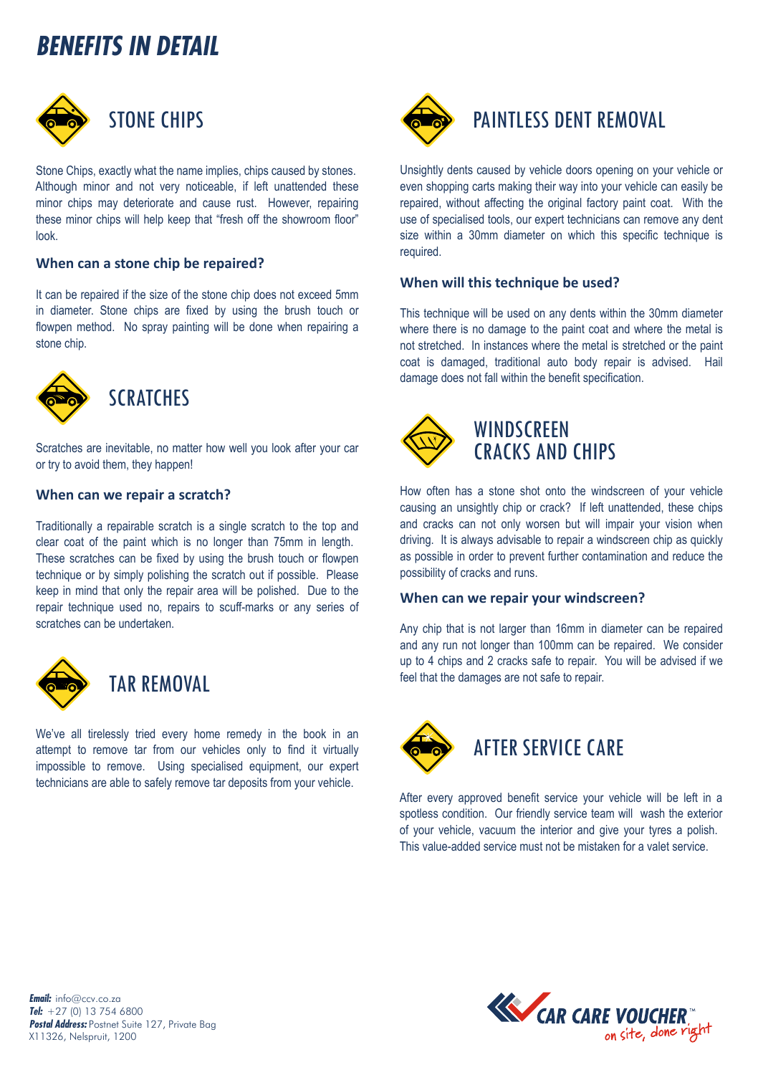# **BENEFITS IN DETAIL**



Stone Chips, exactly what the name implies, chips caused by stones. Although minor and not very noticeable, if left unattended these minor chips may deteriorate and cause rust. However, repairing these minor chips will help keep that "fresh off the showroom floor" look.

### **When can a stone chip be repaired?**

It can be repaired if the size of the stone chip does not exceed 5mm in diameter. Stone chips are fixed by using the brush touch or flowpen method. No spray painting will be done when repairing a stone chip.



Scratches are inevitable, no matter how well you look after your car or try to avoid them, they happen!

#### **When can we repair a scratch?**

Traditionally a repairable scratch is a single scratch to the top and clear coat of the paint which is no longer than 75mm in length. These scratches can be fixed by using the brush touch or flowpen technique or by simply polishing the scratch out if possible. Please keep in mind that only the repair area will be polished. Due to the repair technique used no, repairs to scuff-marks or any series of scratches can be undertaken.



### TAR REMOVAL

We've all tirelessly tried every home remedy in the book in an attempt to remove tar from our vehicles only to find it virtually impossible to remove. Using specialised equipment, our expert technicians are able to safely remove tar deposits from your vehicle.



### PAINTLESS DENT REMOVAL

Unsightly dents caused by vehicle doors opening on your vehicle or even shopping carts making their way into your vehicle can easily be repaired, without affecting the original factory paint coat. With the use of specialised tools, our expert technicians can remove any dent size within a 30mm diameter on which this specific technique is required.

#### **When will this technique be used?**

This technique will be used on any dents within the 30mm diameter where there is no damage to the paint coat and where the metal is not stretched. In instances where the metal is stretched or the paint coat is damaged, traditional auto body repair is advised. Hail damage does not fall within the benefit specification.



### **WINDSCREEN** CRACKS AND CHIPS

How often has a stone shot onto the windscreen of your vehicle causing an unsightly chip or crack? If left unattended, these chips and cracks can not only worsen but will impair your vision when driving. It is always advisable to repair a windscreen chip as quickly as possible in order to prevent further contamination and reduce the possibility of cracks and runs.

### **When can we repair your windscreen?**

Any chip that is not larger than 16mm in diameter can be repaired and any run not longer than 100mm can be repaired. We consider up to 4 chips and 2 cracks safe to repair. You will be advised if we feel that the damages are not safe to repair.



After every approved benefit service your vehicle will be left in a spotless condition. Our friendly service team will wash the exterior of your vehicle, vacuum the interior and give your tyres a polish. This value-added service must not be mistaken for a valet service.